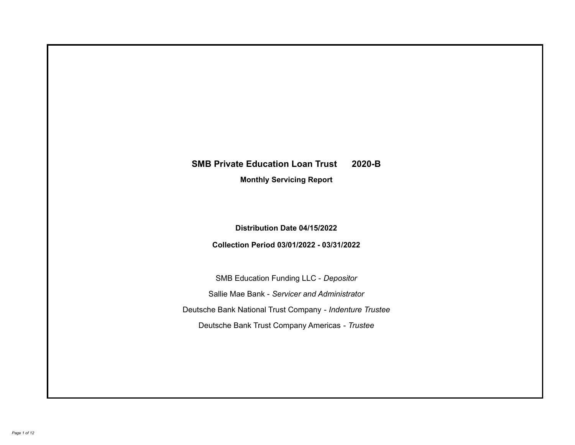# **SMB Private Education Loan Trust 2020-B**

**Monthly Servicing Report**

**Distribution Date 04/15/2022**

**Collection Period 03/01/2022 - 03/31/2022**

SMB Education Funding LLC - *Depositor* Sallie Mae Bank - *Servicer and Administrator* Deutsche Bank National Trust Company - *Indenture Trustee* Deutsche Bank Trust Company Americas - *Trustee*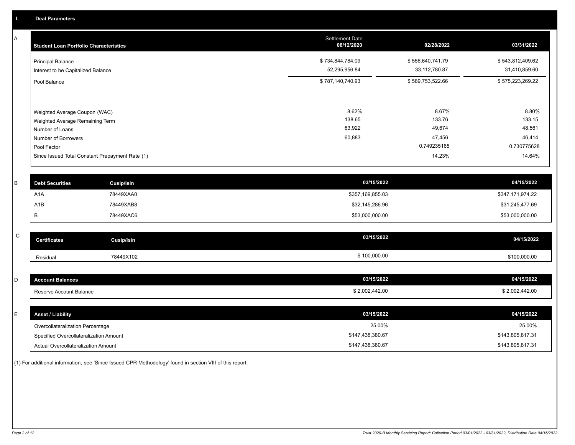A

| <b>Student Loan Portfolio Characteristics</b>                                                                                                                                | <b>Settlement Date</b><br>08/12/2020 | 02/28/2022                                                   | 03/31/2022                                                   |
|------------------------------------------------------------------------------------------------------------------------------------------------------------------------------|--------------------------------------|--------------------------------------------------------------|--------------------------------------------------------------|
| <b>Principal Balance</b><br>Interest to be Capitalized Balance                                                                                                               | \$734,844,784.09<br>52,295,956.84    | \$556,640,741.79<br>33, 112, 780.87                          | \$543,812,409.62<br>31,410,859.60                            |
| Pool Balance                                                                                                                                                                 | \$787,140,740.93                     | \$589,753,522.66                                             | \$575,223,269.22                                             |
| Weighted Average Coupon (WAC)<br>Weighted Average Remaining Term<br>Number of Loans<br>Number of Borrowers<br>Pool Factor<br>Since Issued Total Constant Prepayment Rate (1) | 8.62%<br>138.65<br>63,922<br>60,883  | 8.67%<br>133.76<br>49,674<br>47,456<br>0.749235165<br>14.23% | 8.80%<br>133.15<br>48,561<br>46,414<br>0.730775628<br>14.64% |

| <b>Debt Securities</b> | Cusip/Isin | 03/15/2022       | 04/15/2022       |
|------------------------|------------|------------------|------------------|
| A <sub>1</sub> A       | 78449XAA0  | \$357,169,855.03 | \$347,171,974.22 |
| A1B                    | 78449XAB8  | \$32,145,286.96  | \$31,245,477.69  |
|                        | 78449XAC6  | \$53,000,000.00  | \$53,000,000.00  |

| $\sim$<br>◡ | <b>Certificates</b> | Cusip/Isin | 03/15/2022   | 04/15/2022   |
|-------------|---------------------|------------|--------------|--------------|
|             | Residual            | 78449X102  | \$100,000.00 | \$100,000.00 |

| <b>Account Balances</b> | 03/15/2022     | 04/15/2022     |
|-------------------------|----------------|----------------|
| Reserve Account Balance | \$2,002,442.00 | \$2,002,442.00 |

| ᄂ | <b>Asset / Liability</b>               | 03/15/2022       | 04/15/2022       |
|---|----------------------------------------|------------------|------------------|
|   | Overcollateralization Percentage       | 25.00%           | 25.00%           |
|   | Specified Overcollateralization Amount | \$147,438,380.67 | \$143,805,817.31 |
|   | Actual Overcollateralization Amount    | \$147,438,380.67 | \$143,805,817.31 |

(1) For additional information, see 'Since Issued CPR Methodology' found in section VIII of this report .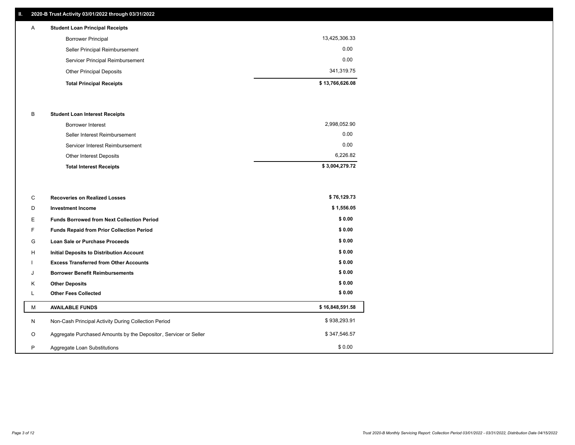## **II. 2020-B Trust Activity 03/01/2022 through 03/31/2022**

| A | <b>Student Loan Principal Receipts</b> |                 |
|---|----------------------------------------|-----------------|
|   | <b>Borrower Principal</b>              | 13,425,306.33   |
|   | Seller Principal Reimbursement         | 0.00            |
|   | Servicer Principal Reimbursement       | 0.00            |
|   | <b>Other Principal Deposits</b>        | 341,319.75      |
|   | <b>Total Principal Receipts</b>        | \$13,766,626.08 |

### B **Student Loan Interest Receipts**

| <b>Total Interest Receipts</b>  | \$3,004,279.72 |
|---------------------------------|----------------|
| Other Interest Deposits         | 6,226.82       |
| Servicer Interest Reimbursement | 0.00           |
| Seller Interest Reimbursement   | 0.00           |
| Borrower Interest               | 2,998,052.90   |

| C       | <b>Recoveries on Realized Losses</b>                             | \$76,129.73     |
|---------|------------------------------------------------------------------|-----------------|
| D       | <b>Investment Income</b>                                         | \$1,556.05      |
| Е.      | <b>Funds Borrowed from Next Collection Period</b>                | \$0.00          |
| F.      | <b>Funds Repaid from Prior Collection Period</b>                 | \$0.00          |
| G       | Loan Sale or Purchase Proceeds                                   | \$0.00          |
| H       | Initial Deposits to Distribution Account                         | \$0.00          |
|         | <b>Excess Transferred from Other Accounts</b>                    | \$0.00          |
| J       | <b>Borrower Benefit Reimbursements</b>                           | \$0.00          |
| K       | <b>Other Deposits</b>                                            | \$0.00          |
|         | <b>Other Fees Collected</b>                                      | \$0.00          |
| м       | <b>AVAILABLE FUNDS</b>                                           | \$16,848,591.58 |
| N       | Non-Cash Principal Activity During Collection Period             | \$938,293.91    |
| $\circ$ | Aggregate Purchased Amounts by the Depositor, Servicer or Seller | \$347,546.57    |
| P       | Aggregate Loan Substitutions                                     | \$0.00          |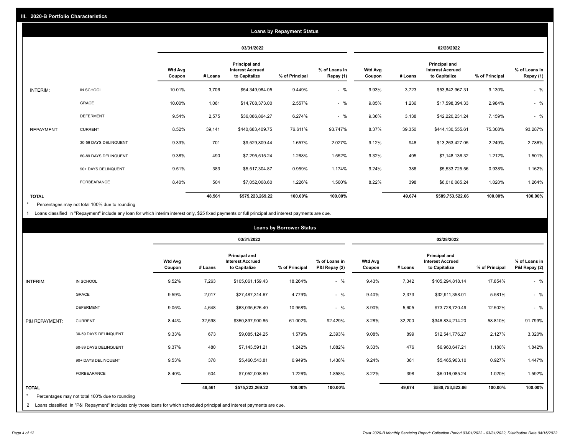|                   |                       |                          |         |                                                                  | <b>Loans by Repayment Status</b> |                            |                          |         |                                                           |                |                            |
|-------------------|-----------------------|--------------------------|---------|------------------------------------------------------------------|----------------------------------|----------------------------|--------------------------|---------|-----------------------------------------------------------|----------------|----------------------------|
|                   |                       |                          |         | 03/31/2022                                                       |                                  |                            |                          |         | 02/28/2022                                                |                |                            |
|                   |                       | <b>Wtd Avg</b><br>Coupon | # Loans | <b>Principal and</b><br><b>Interest Accrued</b><br>to Capitalize | % of Principal                   | % of Loans in<br>Repay (1) | <b>Wtd Avg</b><br>Coupon | # Loans | Principal and<br><b>Interest Accrued</b><br>to Capitalize | % of Principal | % of Loans in<br>Repay (1) |
| INTERIM:          | IN SCHOOL             | 10.01%                   | 3,706   | \$54,349,984.05                                                  | 9.449%                           | $-$ %                      | 9.93%                    | 3,723   | \$53,842,967.31                                           | 9.130%         | $-$ %                      |
|                   | GRACE                 | 10.00%                   | 1,061   | \$14,708,373.00                                                  | 2.557%                           | $-$ %                      | 9.85%                    | 1,236   | \$17,598,394.33                                           | 2.984%         | $-$ %                      |
|                   | <b>DEFERMENT</b>      | 9.54%                    | 2,575   | \$36,086,864.27                                                  | 6.274%                           | $-$ %                      | 9.36%                    | 3,138   | \$42,220,231.24                                           | 7.159%         | $-$ %                      |
| <b>REPAYMENT:</b> | <b>CURRENT</b>        | 8.52%                    | 39,141  | \$440,683,409.75                                                 | 76.611%                          | 93.747%                    | 8.37%                    | 39,350  | \$444,130,555.61                                          | 75.308%        | 93.287%                    |
|                   | 30-59 DAYS DELINQUENT | 9.33%                    | 701     | \$9,529,809.44                                                   | 1.657%                           | 2.027%                     | 9.12%                    | 948     | \$13,263,427.05                                           | 2.249%         | 2.786%                     |
|                   | 60-89 DAYS DELINQUENT | 9.38%                    | 490     | \$7,295,515.24                                                   | 1.268%                           | 1.552%                     | 9.32%                    | 495     | \$7,148,136.32                                            | 1.212%         | 1.501%                     |
|                   | 90+ DAYS DELINQUENT   | 9.51%                    | 383     | \$5,517,304.87                                                   | 0.959%                           | 1.174%                     | 9.24%                    | 386     | \$5,533,725.56                                            | 0.938%         | 1.162%                     |
|                   | <b>FORBEARANCE</b>    | 8.40%                    | 504     | \$7,052,008.60                                                   | 1.226%                           | 1.500%                     | 8.22%                    | 398     | \$6,016,085.24                                            | 1.020%         | 1.264%                     |
| <b>TOTAL</b>      |                       |                          | 48,561  | \$575,223,269.22                                                 | 100.00%                          | 100.00%                    |                          | 49,674  | \$589,753,522.66                                          | 100.00%        | 100.00%                    |

Percentages may not total 100% due to rounding \*

1 Loans classified in "Repayment" include any loan for which interim interest only, \$25 fixed payments or full principal and interest payments are due.

|                | <b>Loans by Borrower Status</b>                                                                                                                                                |                          |            |                                                                  |                |                                |                          |            |                                                                  |                |                                |
|----------------|--------------------------------------------------------------------------------------------------------------------------------------------------------------------------------|--------------------------|------------|------------------------------------------------------------------|----------------|--------------------------------|--------------------------|------------|------------------------------------------------------------------|----------------|--------------------------------|
|                |                                                                                                                                                                                |                          | 03/31/2022 |                                                                  |                |                                |                          | 02/28/2022 |                                                                  |                |                                |
|                |                                                                                                                                                                                | <b>Wtd Avg</b><br>Coupon | # Loans    | <b>Principal and</b><br><b>Interest Accrued</b><br>to Capitalize | % of Principal | % of Loans in<br>P&I Repay (2) | <b>Wtd Avg</b><br>Coupon | # Loans    | <b>Principal and</b><br><b>Interest Accrued</b><br>to Capitalize | % of Principal | % of Loans in<br>P&I Repay (2) |
| INTERIM:       | IN SCHOOL                                                                                                                                                                      | 9.52%                    | 7,263      | \$105,061,159.43                                                 | 18.264%        | $-$ %                          | 9.43%                    | 7,342      | \$105,294,818.14                                                 | 17.854%        | $-$ %                          |
|                | <b>GRACE</b>                                                                                                                                                                   | 9.59%                    | 2,017      | \$27,487,314.67                                                  | 4.779%         | $-$ %                          | 9.40%                    | 2,373      | \$32,911,358.01                                                  | 5.581%         | $-$ %                          |
|                | <b>DEFERMENT</b>                                                                                                                                                               | 9.05%                    | 4,648      | \$63,035,626.40                                                  | 10.958%        | $-$ %                          | 8.90%                    | 5,605      | \$73,728,720.49                                                  | 12.502%        | $-$ %                          |
| P&I REPAYMENT: | <b>CURRENT</b>                                                                                                                                                                 | 8.44%                    | 32,598     | \$350,897,900.85                                                 | 61.002%        | 92.429%                        | 8.28%                    | 32,200     | \$346,834,214.20                                                 | 58.810%        | 91.799%                        |
|                | 30-59 DAYS DELINQUENT                                                                                                                                                          | 9.33%                    | 673        | \$9,085,124.25                                                   | 1.579%         | 2.393%                         | 9.08%                    | 899        | \$12,541,776.27                                                  | 2.127%         | 3.320%                         |
|                | 60-89 DAYS DELINQUENT                                                                                                                                                          | 9.37%                    | 480        | \$7,143,591.21                                                   | 1.242%         | 1.882%                         | 9.33%                    | 476        | \$6,960,647.21                                                   | 1.180%         | 1.842%                         |
|                | 90+ DAYS DELINQUENT                                                                                                                                                            | 9.53%                    | 378        | \$5,460,543.81                                                   | 0.949%         | 1.438%                         | 9.24%                    | 381        | \$5,465,903.10                                                   | 0.927%         | 1.447%                         |
|                | <b>FORBEARANCE</b>                                                                                                                                                             | 8.40%                    | 504        | \$7,052,008.60                                                   | 1.226%         | 1.858%                         | 8.22%                    | 398        | \$6,016,085.24                                                   | 1.020%         | 1.592%                         |
| <b>TOTAL</b>   | Percentages may not total 100% due to rounding<br>2 Loans classified in "P&I Repayment" includes only those loans for which scheduled principal and interest payments are due. |                          | 48,561     | \$575,223,269.22                                                 | 100.00%        | 100.00%                        |                          | 49,674     | \$589,753,522.66                                                 | 100.00%        | 100.00%                        |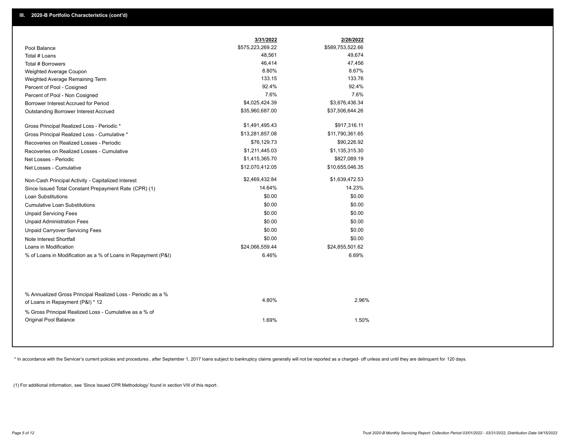|                                                                                                  | 3/31/2022        | 2/28/2022        |  |
|--------------------------------------------------------------------------------------------------|------------------|------------------|--|
| Pool Balance                                                                                     | \$575,223,269.22 | \$589,753,522.66 |  |
| Total # Loans                                                                                    | 48,561           | 49,674           |  |
| Total # Borrowers                                                                                | 46,414           | 47,456           |  |
| Weighted Average Coupon                                                                          | 8.80%            | 8.67%            |  |
| Weighted Average Remaining Term                                                                  | 133.15           | 133.76           |  |
| Percent of Pool - Cosigned                                                                       | 92.4%            | 92.4%            |  |
| Percent of Pool - Non Cosigned                                                                   | 7.6%             | 7.6%             |  |
| Borrower Interest Accrued for Period                                                             | \$4,025,424.39   | \$3,676,436.34   |  |
| Outstanding Borrower Interest Accrued                                                            | \$35,960,687.00  | \$37,506,644.26  |  |
| Gross Principal Realized Loss - Periodic *                                                       | \$1,491,495.43   | \$917,316.11     |  |
| Gross Principal Realized Loss - Cumulative *                                                     | \$13,281,857.08  | \$11,790,361.65  |  |
| Recoveries on Realized Losses - Periodic                                                         | \$76,129.73      | \$90,226.92      |  |
| Recoveries on Realized Losses - Cumulative                                                       | \$1,211,445.03   | \$1,135,315.30   |  |
| Net Losses - Periodic                                                                            | \$1,415,365.70   | \$827,089.19     |  |
| Net Losses - Cumulative                                                                          | \$12,070,412.05  | \$10,655,046.35  |  |
| Non-Cash Principal Activity - Capitalized Interest                                               | \$2,469,432.84   | \$1,639,472.53   |  |
| Since Issued Total Constant Prepayment Rate (CPR) (1)                                            | 14.64%           | 14.23%           |  |
| <b>Loan Substitutions</b>                                                                        | \$0.00           | \$0.00           |  |
| <b>Cumulative Loan Substitutions</b>                                                             | \$0.00           | \$0.00           |  |
| <b>Unpaid Servicing Fees</b>                                                                     | \$0.00           | \$0.00           |  |
| <b>Unpaid Administration Fees</b>                                                                | \$0.00           | \$0.00           |  |
| <b>Unpaid Carryover Servicing Fees</b>                                                           | \$0.00           | \$0.00           |  |
| Note Interest Shortfall                                                                          | \$0.00           | \$0.00           |  |
| Loans in Modification                                                                            | \$24,066,559.44  | \$24,855,501.62  |  |
| % of Loans in Modification as a % of Loans in Repayment (P&I)                                    | 6.46%            | 6.69%            |  |
|                                                                                                  |                  |                  |  |
| % Annualized Gross Principal Realized Loss - Periodic as a %<br>of Loans in Repayment (P&I) * 12 | 4.80%            | 2.96%            |  |
| % Gross Principal Realized Loss - Cumulative as a % of                                           |                  |                  |  |

\* In accordance with the Servicer's current policies and procedures, after September 1, 2017 loans subject to bankruptcy claims generally will not be reported as a charged- off unless and until they are delinquent for 120

1.69% 1.50%

(1) For additional information, see 'Since Issued CPR Methodology' found in section VIII of this report .

Original Pool Balance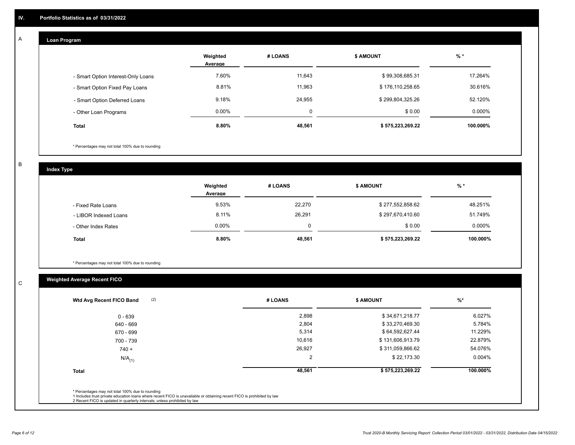# **Loan Program**

A

|                                    | Weighted<br>Average | # LOANS     | <b>S AMOUNT</b>  | $%$ *    |
|------------------------------------|---------------------|-------------|------------------|----------|
| - Smart Option Interest-Only Loans | 7.60%               | 11.643      | \$99,308,685.31  | 17.264%  |
| - Smart Option Fixed Pay Loans     | 8.81%               | 11,963      | \$176,110,258.65 | 30.616%  |
| - Smart Option Deferred Loans      | 9.18%               | 24,955      | \$299,804,325.26 | 52.120%  |
| - Other Loan Programs              | $0.00\%$            | $\mathbf 0$ | \$0.00           | 0.000%   |
| <b>Total</b>                       | 8.80%               | 48,561      | \$575,223,269.22 | 100.000% |

\* Percentages may not total 100% due to rounding

B

C

**Index Type**

|                       | Weighted<br>Average | # LOANS     | <b>\$ AMOUNT</b> | % *      |
|-----------------------|---------------------|-------------|------------------|----------|
| - Fixed Rate Loans    | 9.53%               | 22,270      | \$277,552,858.62 | 48.251%  |
| - LIBOR Indexed Loans | 8.11%               | 26,291      | \$297,670,410.60 | 51.749%  |
| - Other Index Rates   | $0.00\%$            | $\mathbf 0$ | \$0.00           | 0.000%   |
| <b>Total</b>          | 8.80%               | 48,561      | \$575,223,269.22 | 100.000% |

\* Percentages may not total 100% due to rounding

# **Weighted Average Recent FICO**

| 2,898<br>2,804<br>5,314<br>10,616 | \$34,671,218.77<br>\$33,270,469.30<br>\$64,592,627.44<br>\$131,606,913.79 | 6.027%<br>5.784%<br>11.229% |
|-----------------------------------|---------------------------------------------------------------------------|-----------------------------|
|                                   |                                                                           |                             |
|                                   |                                                                           |                             |
|                                   |                                                                           |                             |
|                                   |                                                                           | 22.879%                     |
| 26,927                            | \$311,059,866.62                                                          | 54.076%                     |
| 2                                 | \$22,173.30                                                               | $0.004\%$                   |
| 48,561                            | \$575,223,269.22                                                          | 100.000%                    |
|                                   |                                                                           |                             |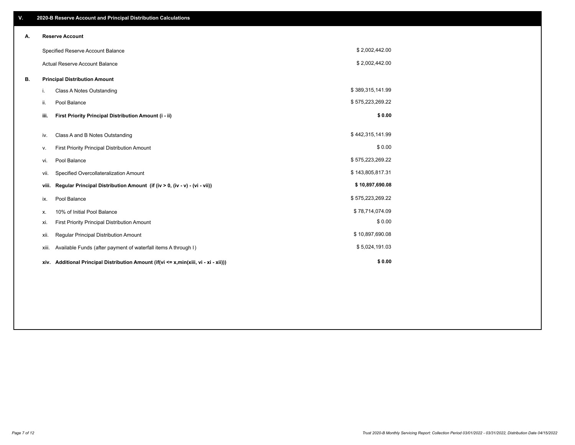| V. |       | 2020-B Reserve Account and Principal Distribution Calculations                       |                  |  |
|----|-------|--------------------------------------------------------------------------------------|------------------|--|
| А. |       | <b>Reserve Account</b>                                                               |                  |  |
|    |       | Specified Reserve Account Balance                                                    | \$2,002,442.00   |  |
|    |       | <b>Actual Reserve Account Balance</b>                                                | \$2,002,442.00   |  |
| В. |       | <b>Principal Distribution Amount</b>                                                 |                  |  |
|    | i.    | Class A Notes Outstanding                                                            | \$389,315,141.99 |  |
|    | ii.   | Pool Balance                                                                         | \$575,223,269.22 |  |
|    | iii.  | First Priority Principal Distribution Amount (i - ii)                                | \$0.00           |  |
|    | iv.   | Class A and B Notes Outstanding                                                      | \$442,315,141.99 |  |
|    | ٧.    | First Priority Principal Distribution Amount                                         | \$0.00           |  |
|    | vi.   | Pool Balance                                                                         | \$575,223,269.22 |  |
|    | vii.  | Specified Overcollateralization Amount                                               | \$143,805,817.31 |  |
|    | viii. | Regular Principal Distribution Amount (if (iv > 0, (iv - v) - (vi - vii))            | \$10,897,690.08  |  |
|    | ix.   | Pool Balance                                                                         | \$575,223,269.22 |  |
|    | х.    | 10% of Initial Pool Balance                                                          | \$78,714,074.09  |  |
|    | xi.   | First Priority Principal Distribution Amount                                         | \$0.00           |  |
|    | Xii.  | Regular Principal Distribution Amount                                                | \$10,897,690.08  |  |
|    | XIII. | Available Funds (after payment of waterfall items A through I)                       | \$5,024,191.03   |  |
|    |       | xiv. Additional Principal Distribution Amount (if(vi <= x,min(xiii, vi - xi - xii))) | \$0.00           |  |
|    |       |                                                                                      |                  |  |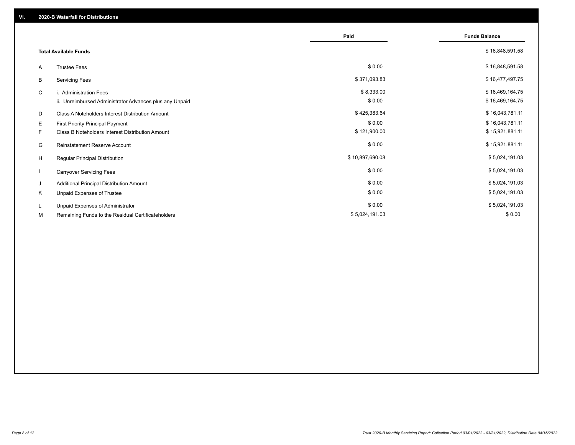|    |                                                         | Paid            | <b>Funds Balance</b> |
|----|---------------------------------------------------------|-----------------|----------------------|
|    |                                                         |                 |                      |
|    | <b>Total Available Funds</b>                            |                 | \$16,848,591.58      |
| A  | <b>Trustee Fees</b>                                     | \$0.00          | \$16,848,591.58      |
| B  | <b>Servicing Fees</b>                                   | \$371,093.83    | \$16,477,497.75      |
| C  | i. Administration Fees                                  | \$8,333.00      | \$16,469,164.75      |
|    | ii. Unreimbursed Administrator Advances plus any Unpaid | \$0.00          | \$16,469,164.75      |
| D  | Class A Noteholders Interest Distribution Amount        | \$425,383.64    | \$16,043,781.11      |
| Е  | <b>First Priority Principal Payment</b>                 | \$0.00          | \$16,043,781.11      |
| F. | <b>Class B Noteholders Interest Distribution Amount</b> | \$121,900.00    | \$15,921,881.11      |
| G  | Reinstatement Reserve Account                           | \$0.00          | \$15,921,881.11      |
| H  | Regular Principal Distribution                          | \$10,897,690.08 | \$5,024,191.03       |
|    | <b>Carryover Servicing Fees</b>                         | \$0.00          | \$5,024,191.03       |
| J  | Additional Principal Distribution Amount                | \$0.00          | \$5,024,191.03       |
| Κ  | Unpaid Expenses of Trustee                              | \$0.00          | \$5,024,191.03       |
| L. | Unpaid Expenses of Administrator                        | \$0.00          | \$5,024,191.03       |
| М  | Remaining Funds to the Residual Certificateholders      | \$5,024,191.03  | \$0.00               |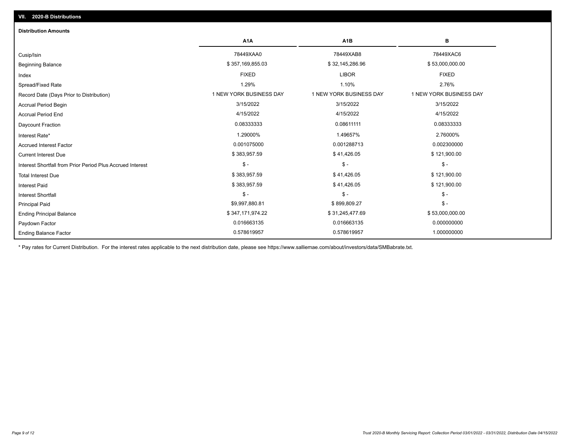| <b>Distribution Amounts</b>                                |                         |                         |                         |
|------------------------------------------------------------|-------------------------|-------------------------|-------------------------|
|                                                            | A <sub>1</sub> A        | A <sub>1</sub> B        | в                       |
| Cusip/Isin                                                 | 78449XAA0               | 78449XAB8               | 78449XAC6               |
| <b>Beginning Balance</b>                                   | \$357,169,855.03        | \$32,145,286.96         | \$53,000,000.00         |
| Index                                                      | <b>FIXED</b>            | <b>LIBOR</b>            | <b>FIXED</b>            |
| Spread/Fixed Rate                                          | 1.29%                   | 1.10%                   | 2.76%                   |
| Record Date (Days Prior to Distribution)                   | 1 NEW YORK BUSINESS DAY | 1 NEW YORK BUSINESS DAY | 1 NEW YORK BUSINESS DAY |
| <b>Accrual Period Begin</b>                                | 3/15/2022               | 3/15/2022               | 3/15/2022               |
| <b>Accrual Period End</b>                                  | 4/15/2022               | 4/15/2022               | 4/15/2022               |
| <b>Daycount Fraction</b>                                   | 0.08333333              | 0.08611111              | 0.08333333              |
| Interest Rate*                                             | 1.29000%                | 1.49657%                | 2.76000%                |
| <b>Accrued Interest Factor</b>                             | 0.001075000             | 0.001288713             | 0.002300000             |
| <b>Current Interest Due</b>                                | \$383,957.59            | \$41,426.05             | \$121,900.00            |
| Interest Shortfall from Prior Period Plus Accrued Interest | $\mathsf{\$}$ -         | $$ -$                   | $\mathsf{\$}$ -         |
| <b>Total Interest Due</b>                                  | \$383,957.59            | \$41,426.05             | \$121,900.00            |
| <b>Interest Paid</b>                                       | \$383,957.59            | \$41,426.05             | \$121,900.00            |
| Interest Shortfall                                         | $\frac{1}{2}$           | $$ -$                   | $\mathcal{S}$ -         |
| <b>Principal Paid</b>                                      | \$9,997,880.81          | \$899,809.27            | $\mathcal{S}$ -         |
| <b>Ending Principal Balance</b>                            | \$347,171,974.22        | \$31,245,477.69         | \$53,000,000.00         |
| Paydown Factor                                             | 0.016663135             | 0.016663135             | 0.000000000             |
| <b>Ending Balance Factor</b>                               | 0.578619957             | 0.578619957             | 1.000000000             |

\* Pay rates for Current Distribution. For the interest rates applicable to the next distribution date, please see https://www.salliemae.com/about/investors/data/SMBabrate.txt.

**VII. 2020-B Distributions**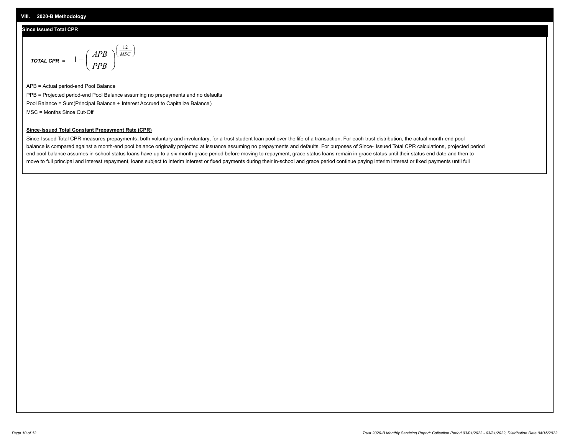## **Since Issued Total CPR**

$$
\text{total cPR} = 1 - \left(\frac{APB}{PPB}\right)^{\left(\frac{12}{MSC}\right)}
$$

APB = Actual period-end Pool Balance PPB = Projected period-end Pool Balance assuming no prepayments and no defaults Pool Balance = Sum(Principal Balance + Interest Accrued to Capitalize Balance) MSC = Months Since Cut-Off

I J Ι

### **Since-Issued Total Constant Prepayment Rate (CPR)**

Since-Issued Total CPR measures prepayments, both voluntary and involuntary, for a trust student loan pool over the life of a transaction. For each trust distribution, the actual month-end pool balance is compared against a month-end pool balance originally projected at issuance assuming no prepayments and defaults. For purposes of Since- Issued Total CPR calculations, projected period end pool balance assumes in-school status loans have up to a six month grace period before moving to repayment, grace status loans remain in grace status until their status end date and then to move to full principal and interest repayment, loans subject to interim interest or fixed payments during their in-school and grace period continue paying interim interest or fixed payments until full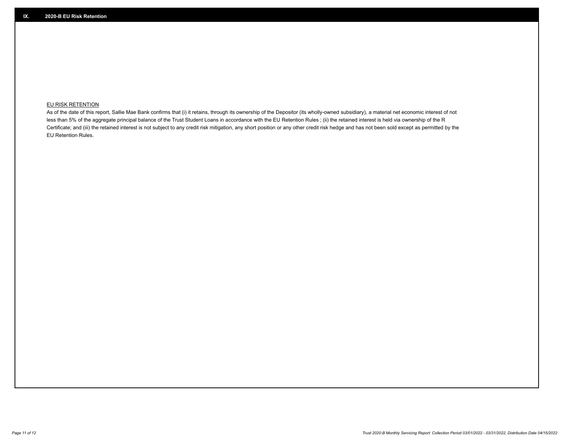## **EU RISK RETENTION**

As of the date of this report, Sallie Mae Bank confirms that (i) it retains, through its ownership of the Depositor (its wholly-owned subsidiary), a material net economic interest of not less than 5% of the aggregate principal balance of the Trust Student Loans in accordance with the EU Retention Rules ; (ii) the retained interest is held via ownership of the R Certificate; and (iii) the retained interest is not subject to any credit risk mitigation, any short position or any other credit risk hedge and has not been sold except as permitted by the EU Retention Rules.